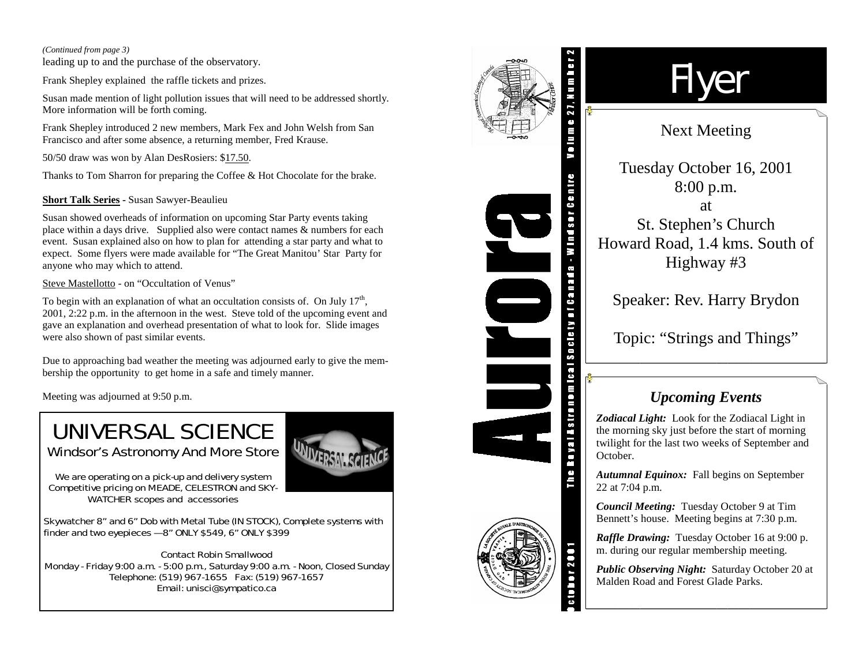#### *(Continued from page 3)*

leading up to and the purchase of the observatory.

Frank Shepley explained the raffle tickets and prizes.

Susan made mention of light pollution issues that will need to be addressed shortly. More information will be forth coming.

Frank Shepley introduced 2 new members, Mark Fex and John Welsh from San Francisco and after some absence, a returning member, Fred Krause.

50/50 draw was won by Alan DesRosiers: \$17.50.

Thanks to Tom Sharron for preparing the Coffee & Hot Chocolate for the brake.

## **Short Talk Series -** Susan Sawyer-Beaulieu

Susan showed overheads of information on upcoming Star Party events taking place within a days drive. Supplied also were contact names & numbers for each event. Susan explained also on how to plan for attending a star party and what to expect. Some flyers were made available for "The Great Manitou' Star Party for anyone who may which to attend.

Steve Mastellotto - on "Occultation of Venus"

To begin with an explanation of what an occultation consists of. On July  $17<sup>th</sup>$ , 2001, 2:22 p.m. in the afternoon in the west. Steve told of the upcoming event and gave an explanation and overhead presentation of what to look for. Slide images were also shown of past similar events.

Due to approaching bad weather the meeting was adjourned early to give the membership the opportunity to get home in a safe and timely manner.

Meeting was adjourned at 9:50 p.m.

# UNIVERSAL SCIENCE Windsor's Astronomy And More Store



*We are operating on a pick-up and delivery system Competitive pricing on MEADE, CELESTRON and SKY-WATCHER scopes and accessories* 

Skywatcher 8" and 6" Dob with Metal Tube (IN STOCK), Complete systems with finder and two eyepieces  $-8$ " ONLY \$549, 6" ONLY \$399

Contact Robin Smallwood Monday - Friday 9:00 a.m. - 5:00 p.m., Saturday 9:00 a.m. - Noon, Closed Sunday Telephone: (519) 967-1655 Fax: (519) 967-1657 Email: unisci@sympatico.ca



# Flyer

# Next Meeting

Tuesday October 16, 2001 8:00 p.m. at St. Stephen's Church Howard Road, 1.4 kms. South of Highway #3

Speaker: Rev. Harry Brydon

Topic: "Strings and Things"

# *Upcoming Events*

*Zodiacal Light:* Look for the Zodiacal Light in the morning sky just before the start of morning twilight for the last two weeks of September and October.

*Autumnal Equinox:* Fall begins on September 22 at 7:04 p.m.

*Council Meeting:* Tuesday October 9 at Tim Bennett's house. Meeting begins at 7:30 p.m.

*Raffle Drawing:* Tuesday October 16 at 9:00 p. m. during our regular membership meeting.

*Public Observing Night:* Saturday October 20 at Malden Road and Forest Glade Parks.